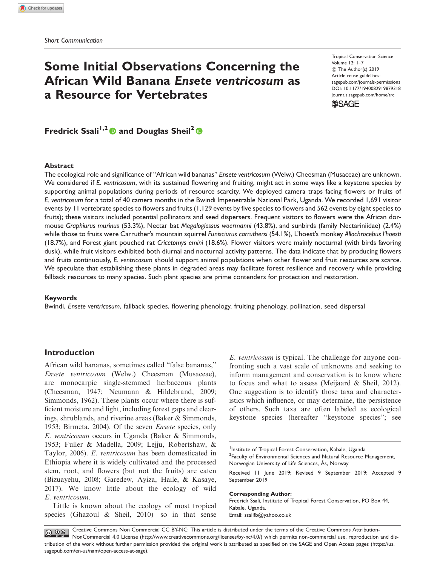# Some Initial Observations Concerning the African Wild Banana Ensete ventricosum as a Resource for Vertebrates

Tropical Conservation Science Volume 12: 1–7  $©$  The Author(s) 2019 Article reuse guidelines: [sagepub.com/journals-permissions](http://us.sagepub.com/en-us/journals-permissions) [DOI: 10.1177/1940082919879318](http://dx.doi.org/10.1177/1940082919879318) <journals.sagepub.com/home/trc>



Fredrick Ssali<sup>1,2</sup> and Douglas Sheil<sup>2</sup>  $\bullet$ 

## Abstract

The ecological role and significance of "African wild bananas" Ensete ventricosum (Welw.) Cheesman (Musaceae) are unknown. We considered if E. ventricosum, with its sustained flowering and fruiting, might act in some ways like a keystone species by supporting animal populations during periods of resource scarcity. We deployed camera traps facing flowers or fruits of E. ventricosum for a total of 40 camera months in the Bwindi Impenetrable National Park, Uganda. We recorded 1,691 visitor events by 11 vertebrate species to flowers and fruits (1,129 events by five species to flowers and 562 events by eight species to fruits); these visitors included potential pollinators and seed dispersers. Frequent visitors to flowers were the African dormouse Graphiurus murinus (53.3%), Nectar bat Megaloglossus woermanni (43.8%), and sunbirds (family Nectariniidae) (2.4%) while those to fruits were Carruther's mountain squirrel Funisciurus carruthersi (54.1%), L'hoest's monkey Allochrocebus l'hoesti (18.7%), and Forest giant pouched rat Cricetomys emini (18.6%). Flower visitors were mainly nocturnal (with birds favoring dusk), while fruit visitors exhibited both diurnal and nocturnal activity patterns. The data indicate that by producing flowers and fruits continuously, E. ventricosum should support animal populations when other flower and fruit resources are scarce. We speculate that establishing these plants in degraded areas may facilitate forest resilience and recovery while providing fallback resources to many species. Such plant species are prime contenders for protection and restoration.

## Keywords

Bwindi, Ensete ventricosum, fallback species, flowering phenology, fruiting phenology, pollination, seed dispersal

# Introduction

African wild bananas, sometimes called "false bananas," Ensete ventricosum (Welw.) Cheesman (Musaceae), are monocarpic single-stemmed herbaceous plants (Cheesman, 1947; Neumann & Hildebrand, 2009; Simmonds, 1962). These plants occur where there is sufficient moisture and light, including forest gaps and clearings, shrublands, and riverine areas (Baker & Simmonds, 1953; Birmeta, 2004). Of the seven Ensete species, only E. ventricosum occurs in Uganda (Baker & Simmonds, 1953; Fuller & Madella, 2009; Lejju, Robertshaw, & Taylor, 2006). E. ventricosum has been domesticated in Ethiopia where it is widely cultivated and the processed stem, root, and flowers (but not the fruits) are eaten (Bizuayehu, 2008; Garedew, Ayiza, Haile, & Kasaye, 2017). We know little about the ecology of wild E. ventricosum.

Little is known about the ecology of most tropical species (Ghazoul & Sheil, 2010)—so in that sense

E. ventricosum is typical. The challenge for anyone confronting such a vast scale of unknowns and seeking to inform management and conservation is to know where to focus and what to assess (Meijaard & Sheil, 2012). One suggestion is to identify those taxa and characteristics which influence, or may determine, the persistence of others. Such taxa are often labeled as ecological keystone species (hereafter "keystone species"; see

Received 11 June 2019; Revised 9 September 2019; Accepted 9 September 2019

#### Corresponding Author:

Fredrick Ssali, Institute of Tropical Forest Conservation, PO Box 44, Kabale, Uganda. Email: [ssalifb@yahoo.co.uk](mailto:ssalifb@yahoo.co.uk)

Creative Commons Non Commercial CC BY-NC: This article is distributed under the terms of the Creative Commons Attribution- $\circ$   $\circ$ NonCommercial 4.0 License (http://www.creativecommons.org/licenses/by-nc/4.0/) which permits non-commercial use, reproduction and distribution of the work without further permission provided the original work is attributed as specified on the SAGE and Open Access pages (https://us. sagepub.com/en-us/nam/open-access-at-sage).

<sup>&</sup>lt;sup>1</sup>Institute of Tropical Forest Conservation, Kabale, Uganda <sup>2</sup> Faculty of Environmental Sciences and Natural Resource Management, Norwegian University of Life Sciences, As, Norway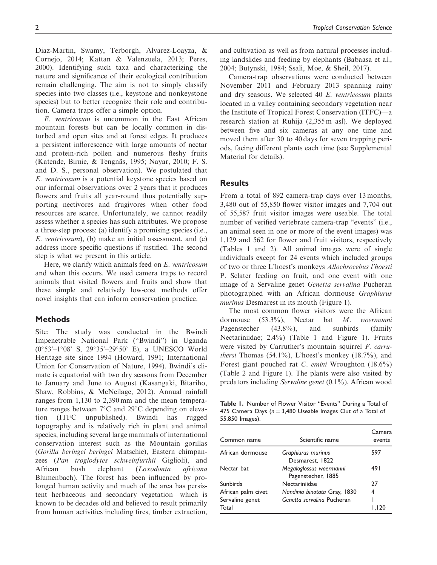Diaz-Martin, Swamy, Terborgh, Alvarez-Loayza, & Cornejo, 2014; Kattan & Valenzuela, 2013; Peres, 2000). Identifying such taxa and characterizing the nature and significance of their ecological contribution remain challenging. The aim is not to simply classify species into two classes (i.e., keystone and nonkeystone species) but to better recognize their role and contribution. Camera traps offer a simple option.

E. ventricosum is uncommon in the East African mountain forests but can be locally common in disturbed and open sites and at forest edges. It produces a persistent inflorescence with large amounts of nectar and protein-rich pollen and numerous fleshy fruits (Katende, Birnie, & Tengnäs, 1995; Nayar, 2010; F. S. and D. S., personal observation). We postulated that E. ventricosum is a potential keystone species based on our informal observations over 2 years that it produces flowers and fruits all year-round thus potentially supporting nectivores and frugivores when other food resources are scarce. Unfortunately, we cannot readily assess whether a species has such attributes. We propose a three-step process: (a) identify a promising species (i.e., E. ventricosum), (b) make an initial assessment, and (c) address more specific questions if justified. The second step is what we present in this article.

Here, we clarify which animals feed on E. ventricosum and when this occurs. We used camera traps to record animals that visited flowers and fruits and show that these simple and relatively low-cost methods offer novel insights that can inform conservation practice.

# Methods

Site: The study was conducted in the Bwindi Impenetrable National Park ("Bwindi") in Uganda  $(0°53' - 1°08' S, 29°35' - 29°50' E), a UNESCO World$ Heritage site since 1994 (Howard, 1991; International Union for Conservation of Nature, 1994). Bwindi's climate is equatorial with two dry seasons from December to January and June to August (Kasangaki, Bitariho, Shaw, Robbins, & McNeilage, 2012). Annual rainfall ranges from 1,130 to 2,390 mm and the mean temperature ranges between  $7^{\circ}$ C and  $29^{\circ}$ C depending on elevation (ITFC unpublished). Bwindi has rugged topography and is relatively rich in plant and animal species, including several large mammals of international conservation interest such as the Mountain gorillas (Gorilla beringei beringei Matschie), Eastern chimpanzees (Pan troglodytes schweinfurthii Giglioli), and African bush elephant (Loxodonta africana Blumenbach). The forest has been influenced by prolonged human activity and much of the area has persistent herbaceous and secondary vegetation—which is known to be decades old and believed to result primarily from human activities including fires, timber extraction, and cultivation as well as from natural processes including landslides and feeding by elephants (Babaasa et al., 2004; Butynski, 1984; Ssali, Moe, & Sheil, 2017).

Camera-trap observations were conducted between November 2011 and February 2013 spanning rainy and dry seasons. We selected 40 E. ventricosum plants located in a valley containing secondary vegetation near the Institute of Tropical Forest Conservation (ITFC)—a research station at Ruhija (2,355 m asl). We deployed between five and six cameras at any one time and moved them after 30 to 40 days for seven trapping periods, facing different plants each time (see Supplemental Material for details).

# **Results**

From a total of 892 camera-trap days over 13 months, 3,480 out of 55,850 flower visitor images and 7,704 out of 55,587 fruit visitor images were useable. The total number of verified vertebrate camera-trap "events" (i.e., an animal seen in one or more of the event images) was 1,129 and 562 for flower and fruit visitors, respectively (Tables 1 and 2). All animal images were of single individuals except for 24 events which included groups of two or three L'hoest's monkeys Allochrocebus l'hoesti P. Sclater feeding on fruit, and one event with one image of a Servaline genet Genetta servalina Pucheran photographed with an African dormouse Graphiurus murinus Desmarest in its mouth (Figure 1).

The most common flower visitors were the African dormouse (53.3%), Nectar bat M. woermanni Pagenstecher (43.8%), and sunbirds (family Nectariniidae; 2.4%) (Table 1 and Figure 1). Fruits were visited by Carruther's mountain squirrel F. carru*thersi* Thomas  $(54.1\%)$ , L'hoest's monkey  $(18.7\%)$ , and Forest giant pouched rat C. emini Wroughton (18.6%) (Table 2 and Figure 1). The plants were also visited by predators including Servaline genet (0.1%), African wood

Table 1. Number of Flower Visitor "Events" During a Total of 475 Camera Days ( $n = 3,480$  Useable Images Out of a Total of 55,850 Images).

| Scientific name                               | Camera<br>events |
|-----------------------------------------------|------------------|
| Graphiurus murinus<br>Desmarest, 1822         | 597              |
| Megaloglossus woermanni<br>Pagenstecher, 1885 | 491              |
| Nectariniidae                                 | 27               |
| Nandinia binotata Gray, 1830                  | 4                |
| Genetta servalina Pucheran                    | l 20             |
|                                               |                  |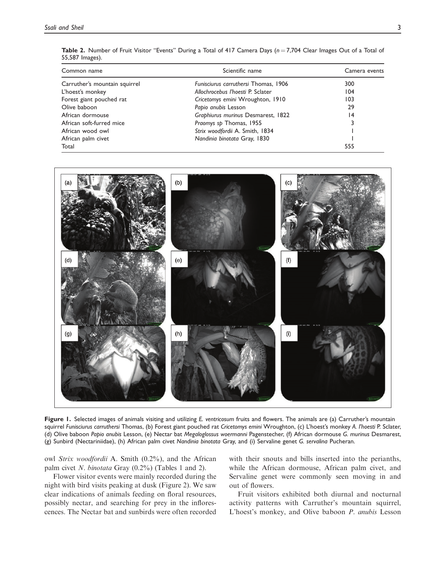| 55,587 Images). |                                                                                                                                 |  |  |  |  |
|-----------------|---------------------------------------------------------------------------------------------------------------------------------|--|--|--|--|
|                 | <b>Table 2.</b> Number of Fruit Visitor "Events" During a Total of 417 Camera Days ( $n = 7.704$ Clear Images Out of a Total of |  |  |  |  |

| Common name                   | Scientific name                      | Camera events<br>300 |  |
|-------------------------------|--------------------------------------|----------------------|--|
| Carruther's mountain squirrel | Funisciurus carruthersi Thomas, 1906 |                      |  |
| L'hoest's monkey              | Allochrocebus l'hoesti P. Sclater    | 104                  |  |
| Forest giant pouched rat      | Cricetomys emini Wroughton, 1910     | 103                  |  |
| Olive baboon                  | Papio anubis Lesson                  | 29                   |  |
| African dormouse              | Graphiurus murinus Desmarest, 1822   | $\overline{14}$      |  |
| African soft-furred mice      | Praomys sp Thomas, 1955              |                      |  |
| African wood owl              | Strix woodfordii A. Smith, 1834      |                      |  |
| African palm civet            | Nandinia binotata Gray, 1830         |                      |  |
| Total                         |                                      | 555                  |  |



Figure 1. Selected images of animals visiting and utilizing E. ventricosum fruits and flowers. The animals are (a) Carruther's mountain squirrel Funisciurus carruthersi Thomas, (b) Forest giant pouched rat Cricetomys emini Wroughton, (c) L'hoest's monkey A. l'hoesti P. Sclater, (d) Olive baboon Papio anubis Lesson, (e) Nectar bat Megaloglossus woermanni Pagenstecher, (f) African dormouse G. murinus Desmarest, (g) Sunbird (Nectariniidae), (h) African palm civet Nandinia binotata Gray, and (i) Servaline genet G. servalina Pucheran.

owl Strix woodfordii A. Smith (0.2%), and the African palm civet N. binotata Gray (0.2%) (Tables 1 and 2).

Flower visitor events were mainly recorded during the night with bird visits peaking at dusk (Figure 2). We saw clear indications of animals feeding on floral resources, possibly nectar, and searching for prey in the inflorescences. The Nectar bat and sunbirds were often recorded with their snouts and bills inserted into the perianths, while the African dormouse, African palm civet, and Servaline genet were commonly seen moving in and out of flowers.

Fruit visitors exhibited both diurnal and nocturnal activity patterns with Carruther's mountain squirrel, L'hoest's monkey, and Olive baboon P. anubis Lesson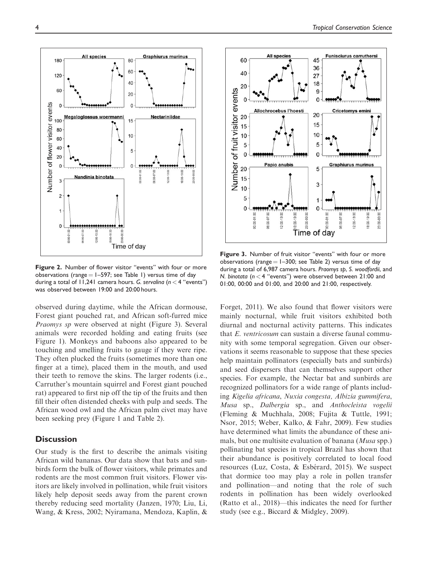

Figure 2. Number of flower visitor "events" with four or more observations (range  $= 1-597$ ; see Table 1) versus time of day during a total of 11,241 camera hours. G. servalina ( $n < 4$  "events") was observed between 19:00 and 20:00 hours.

observed during daytime, while the African dormouse, Forest giant pouched rat, and African soft-furred mice Praomys sp were observed at night (Figure 3). Several animals were recorded holding and eating fruits (see Figure 1). Monkeys and baboons also appeared to be touching and smelling fruits to gauge if they were ripe. They often plucked the fruits (sometimes more than one finger at a time), placed them in the mouth, and used their teeth to remove the skins. The larger rodents (i.e., Carruther's mountain squirrel and Forest giant pouched rat) appeared to first nip off the tip of the fruits and then fill their often distended cheeks with pulp and seeds. The African wood owl and the African palm civet may have been seeking prey (Figure 1 and Table 2).

# **Discussion**

Our study is the first to describe the animals visiting African wild bananas. Our data show that bats and sunbirds form the bulk of flower visitors, while primates and rodents are the most common fruit visitors. Flower visitors are likely involved in pollination, while fruit visitors likely help deposit seeds away from the parent crown thereby reducing seed mortality (Janzen, 1970; Liu, Li, Wang, & Kress, 2002; Nyiramana, Mendoza, Kaplin, &



Figure 3. Number of fruit visitor "events" with four or more observations (range  $= 1-300$ ; see Table 2) versus time of day during a total of 6,987 camera hours. Praomys sp, S. woodfordii, and N. binotata ( $n < 4$  "events") were observed between 21:00 and 01:00, 00:00 and 01:00, and 20:00 and 21:00, respectively.

Forget, 2011). We also found that flower visitors were mainly nocturnal, while fruit visitors exhibited both diurnal and nocturnal activity patterns. This indicates that E. ventricosum can sustain a diverse faunal community with some temporal segregation. Given our observations it seems reasonable to suppose that these species help maintain pollinators (especially bats and sunbirds) and seed dispersers that can themselves support other species. For example, the Nectar bat and sunbirds are recognized pollinators for a wide range of plants including Kigelia africana, Nuxia congesta, Albizia gummifera, Musa sp., Dalbergia sp., and Anthocleista vogelii (Fleming & Muchhala, 2008; Fujita & Tuttle, 1991; Nsor, 2015; Weber, Kalko, & Fahr, 2009). Few studies have determined what limits the abundance of these animals, but one multisite evaluation of banana (Musa spp.) pollinating bat species in tropical Brazil has shown that their abundance is positively correlated to local food resources (Luz, Costa,  $&$  Esbérard, 2015). We suspect that dormice too may play a role in pollen transfer and pollination—and noting that the role of such rodents in pollination has been widely overlooked (Ratto et al., 2018)—this indicates the need for further study (see e.g., Biccard & Midgley, 2009).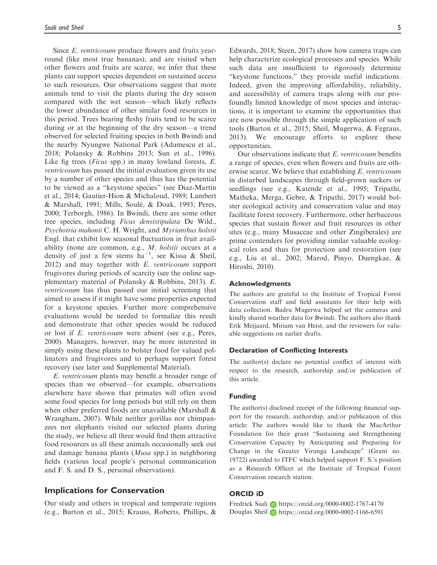Since E. ventricosum produce flowers and fruits yearround (like most true bananas), and are visited when other flowers and fruits are scarce, we infer that these plants can support species dependent on sustained access to such resources. Our observations suggest that more animals tend to visit the plants during the dry season compared with the wet season—which likely reflects the lower abundance of other similar food resources in this period. Trees bearing fleshy fruits tend to be scarce during or at the beginning of the dry season—a trend observed for selected fruiting species in both Bwindi and the nearby Nyungwe National Park (Adamescu et al., 2018; Polansky & Robbins 2013; Sun et al., 1996). Like fig trees *(Ficus spp.)* in many lowland forests, *E.* ventricosum has passed the initial evaluation given its use by a number of other species and thus has the potential to be viewed as a "keystone species" (see Diaz-Martin et al., 2014; Gautier-Hion & Michaloud, 1989; Lambert & Marshall, 1991; Mills, Soulé, & Doak, 1993; Peres, 2000; Terborgh, 1986). In Bwindi, there are some other tree species, including Ficus densistipulata De Wild., Psychotria mahonii C. H. Wright, and Myrianthus holstii Engl. that exhibit low seasonal fluctuation in fruit availability (none are common, e.g., M. holstii occurs at a density of just a few stems  $ha^{-1}$ , see Kissa & Sheil, 2012) and may together with E. ventricosum support frugivores during periods of scarcity (see the online supplementary material of Polansky & Robbins, 2013). E. ventricosum has thus passed our initial screening that aimed to assess if it might have some properties expected for a keystone species. Further more comprehensive evaluations would be needed to formalize this result and demonstrate that other species would be reduced or lost if E. ventricosum were absent (see e.g., Peres, 2000). Managers, however, may be more interested in simply using these plants to bolster food for valued pollinators and frugivores and to perhaps support forest recovery (see later and Supplemental Material).

E. ventricosum plants may benefit a broader range of species than we observed—for example, observations elsewhere have shown that primates will often avoid some food species for long periods but still rely on them when other preferred foods are unavailable (Marshall & Wrangham, 2007). While neither gorillas nor chimpanzees nor elephants visited our selected plants during the study, we believe all three would find them attractive food resources as all these animals occasionally seek out and damage banana plants (Musa spp.) in neighboring fields (various local people's personal communication and F. S. and D. S., personal observation).

# Implications for Conservation

Our study and others in tropical and temperate regions (e.g., Burton et al., 2015; Krauss, Roberts, Phillips, &

Edwards, 2018; Steen, 2017) show how camera traps can help characterize ecological processes and species. While such data are insufficient to rigorously determine "keystone functions," they provide useful indications. Indeed, given the improving affordability, reliability, and accessibility of camera traps along with our profoundly limited knowledge of most species and interactions, it is important to examine the opportunities that are now possible through the simple application of such tools (Burton et al., 2015; Sheil, Mugerwa, & Fegraus, 2013). We encourage efforts to explore these opportunities.

Our observations indicate that E. ventricosum benefits a range of species, even when flowers and fruits are otherwise scarce. We believe that establishing E. ventricosum in disturbed landscapes through field-grown suckers or seedlings (see e.g., Katende et al., 1995; Tripathi, Matheka, Merga, Gebre, & Tripathi, 2017) would bolster ecological activity and conservation value and may facilitate forest recovery. Furthermore, other herbaceous species that sustain flower and fruit resources in other sites (e.g., many Musaceae and other Zingiberales) are prime contenders for providing similar valuable ecological roles and thus for protection and restoration (see e.g., Liu et al., 2002; Marod, Pinyo, Duengkae, & Hiroshi, 2010).

#### Acknowledgments

The authors are grateful to the Institute of Tropical Forest Conservation staff and field assistants for their help with data collection. Badru Mugerwa helped set the cameras and kindly shared weather data for Bwindi. The authors also thank Erik Meijaard, Miriam van Heist, and the reviewers for valuable suggestions on earlier drafts.

#### Declaration of Conflicting Interests

The author(s) declare no potential conflict of interest with respect to the research, authorship and/or publication of this article.

### Funding

The author(s) disclosed receipt of the following financial support for the research, authorship, and/or publication of this article: The authors would like to thank the MacArthur Foundation for their grant "Sustaining and Strengthening Conservation Capacity by Anticipating and Preparing for Change in the Greater Virunga Landscape" (Grant no. 19722) awarded to ITFC which helped support F. S.'s position as a Research Officer at the Institute of Tropical Forest Conservation research station.

# ORCID iD

Fredrick Ssali <https://orcid.org/0000-0002-1767-4170> Douglas Sheil **D** <https://orcid.org/0000-0002-1166-6591>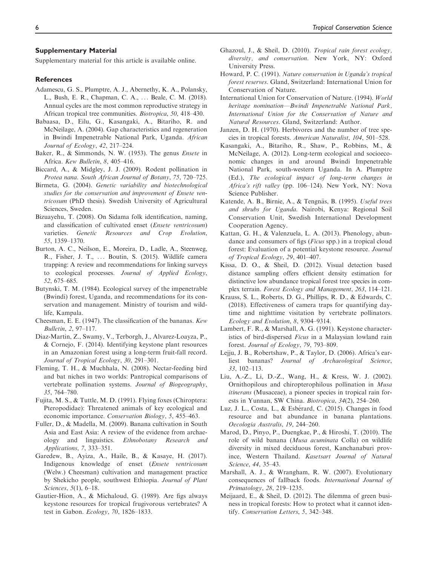#### Supplementary Material

Supplementary material for this article is available online.

### References

- Adamescu, G. S., Plumptre, A. J., Abernethy, K. A., Polansky, L., Bush, E. R., Chapman, C. A., ... Beale, C. M. (2018). Annual cycles are the most common reproductive strategy in African tropical tree communities. Biotropica, 50, 418–430.
- Babaasa, D., Eilu, G., Kasangaki, A., Bitariho, R. and McNeilage, A. (2004). Gap characteristics and regeneration in Bwindi Impenetrable National Park, Uganda. African Journal of Ecology, 42, 217–224.
- Baker, R., & Simmonds, N. W. (1953). The genus Ensete in Africa. Kew Bulletin, 8, 405–416.
- Biccard, A., & Midgley, J. J. (2009). Rodent pollination in Protea nana. South African Journal of Botany, 75, 720–725.
- Birmeta, G. (2004). Genetic variability and biotechnological studies for the conservation and improvement of Ensete ventricosum (PhD thesis). Swedish University of Agricultural Sciences, Sweden.
- Bizuayehu, T. (2008). On Sidama folk identification, naming, and classification of cultivated enset (Ensete ventricosum) varieties. Genetic Resources and Crop Evolution, 55, 1359–1370.
- Burton, A. C., Neilson, E., Moreira, D., Ladle, A., Steenweg, R., Fisher, J. T., ... Boutin, S. (2015). Wildlife camera trapping: A review and recommendations for linking surveys to ecological processes. Journal of Applied Ecology, 52, 675–685.
- Butynski, T. M. (1984). Ecological survey of the impenetrable (Bwindi) forest, Uganda, and recommendations for its conservation and management. Ministry of tourism and wildlife, Kampala.
- Cheesman, E. E. (1947). The classification of the bananas. Kew Bulletin, 2, 97–117.
- Diaz-Martin, Z., Swamy, V., Terborgh, J., Alvarez-Loayza, P., & Cornejo, F. (2014). Identifying keystone plant resources in an Amazonian forest using a long-term fruit-fall record. Journal of Tropical Ecology, 30, 291–301.
- Fleming, T. H., & Muchhala, N. (2008). Nectar-feeding bird and bat niches in two worlds: Pantropical comparisons of vertebrate pollination systems. Journal of Biogeography, 35, 764–780.
- Fujita, M. S., & Tuttle, M. D. (1991). Flying foxes (Chiroptera: Pteropodidae): Threatened animals of key ecological and economic importance. Conservation Biology, 5, 455–463.
- Fuller, D., & Madella, M. (2009). Banana cultivation in South Asia and East Asia: A review of the evidence from archaeology and linguistics. Ethnobotany Research and Applications, 7, 333–351.
- Garedew, B., Ayiza, A., Haile, B., & Kasaye, H. (2017). Indigenous knowledge of enset (Ensete ventricosum (Welw.) Cheesman) cultivation and management practice by Shekicho people, southwest Ethiopia. Journal of Plant Sciences, 5(1), 6–18.
- Gautier-Hion, A., & Michaloud, G. (1989). Are figs always keystone resources for tropical frugivorous vertebrates? A test in Gabon. Ecology, 70, 1826–1833.
- Ghazoul, J., & Sheil, D. (2010). Tropical rain forest ecology, diversity, and conservation. New York, NY: Oxford University Press.
- Howard, P. C. (1991). Nature conservation in Uganda's tropical forest reserves. Gland, Switzerland: International Union for Conservation of Nature.
- International Union for Conservation of Nature. (1994). World heritage nomination—Bwindi Impenetrable National Park, International Union for the Conservation of Nature and Natural Resources. Gland, Switzerland: Author.
- Janzen, D. H. (1970). Herbivores and the number of tree species in tropical forests. American Naturalist, 104, 501–528.
- Kasangaki, A., Bitariho, R., Shaw, P., Robbins, M., & McNeilage, A. (2012). Long-term ecological and socioeconomic changes in and around Bwindi Impenetrable National Park, south-western Uganda. In A. Plumptre (Ed.), The ecological impact of long-term changes in Africa's rift valley (pp. 106–124). New York, NY: Nova Science Publisher.
- Katende, A. B., Birnie, A., & Tengnäs, B. (1995). Useful trees and shrubs for Uganda. Nairobi, Kenya: Regional Soil Conservation Unit, Swedish International Development Cooperation Agency.
- Kattan, G. H., & Valenzuela, L. A. (2013). Phenology, abundance and consumers of figs (Ficus spp.) in a tropical cloud forest: Evaluation of a potential keystone resource. Journal of Tropical Ecology, 29, 401–407.
- Kissa, D. O., & Sheil, D. (2012). Visual detection based distance sampling offers efficient density estimation for distinctive low abundance tropical forest tree species in complex terrain. Forest Ecology and Management, 263, 114–121.
- Krauss, S. L., Roberts, D. G., Phillips, R. D., & Edwards, C. (2018). Effectiveness of camera traps for quantifying daytime and nighttime visitation by vertebrate pollinators. Ecology and Evolution, 8, 9304–9314.
- Lambert, F. R., & Marshall, A. G. (1991). Keystone characteristics of bird-dispersed Ficus in a Malaysian lowland rain forest. Journal of Ecology, 79, 793–809.
- Lejju, J. B., Robertshaw, P., & Taylor, D. (2006). Africa's earliest bananas? Journal of Archaeological Science, 33, 102–113.
- Liu, A.-Z., Li, D.-Z., Wang, H., & Kress, W. J. (2002). Ornithopilous and chiropterophilous pollination in Musa itinerans (Musaceae), a pioneer species in tropical rain forests in Yunnan, SW China. Biotropica, 34(2), 254–260.
- Luz, J. L., Costa, L., & Esbérard, C. (2015). Changes in food resource and bat abundance in banana plantations. Oecologia Australis, 19, 244–260.
- Marod, D., Pinyo, P., Duengkae, P., & Hiroshi, T. (2010). The role of wild banana (Musa acuminata Colla) on wildlife diversity in mixed deciduous forest, Kanchanaburi province, Western Thailand. Kasetsart Journal of Natural Science, 44, 35–43.
- Marshall, A. J., & Wrangham, R. W. (2007). Evolutionary consequences of fallback foods. International Journal of Primatology, 28, 219–1235.
- Meijaard, E., & Sheil, D. (2012). The dilemma of green business in tropical forests: How to protect what it cannot identify. Conservation Letters, 5, 342–348.